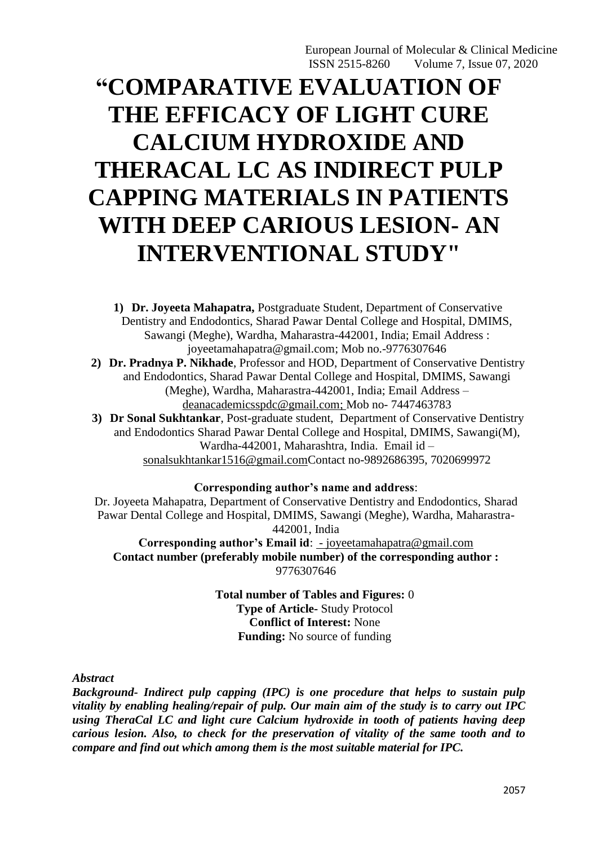# **"COMPARATIVE EVALUATION OF THE EFFICACY OF LIGHT CURE CALCIUM HYDROXIDE AND THERACAL LC AS INDIRECT PULP CAPPING MATERIALS IN PATIENTS WITH DEEP CARIOUS LESION- AN INTERVENTIONAL STUDY"**

**1) Dr. Joyeeta Mahapatra,** Postgraduate Student, Department of Conservative Dentistry and Endodontics, Sharad Pawar Dental College and Hospital, DMIMS, Sawangi (Meghe), Wardha, Maharastra-442001, India; Email Address : [joyeetamahapatra@gmail.com;](mailto:saurorathi@gmail.com) Mob no.-9776307646 **2) Dr. Pradnya P. Nikhade**, Professor and HOD, Department of Conservative Dentistry and Endodontics, Sharad Pawar Dental College and Hospital, DMIMS, Sawangi (Meghe), Wardha, Maharastra-442001, India; Email Address – [deanacademicsspdc@gmail.com;](mailto:deanacademicsspdc@gmail.com) Mob no- 7447463783 **3) Dr Sonal Sukhtankar**, Post-graduate student, Department of Conservative Dentistry and Endodontics Sharad Pawar Dental College and Hospital, DMIMS, Sawangi(M),

Wardha-442001, Maharashtra, India. Email id – [sonalsukhtankar1516@gmail.comC](mailto:dikshaagrawal81@gmail.com)ontact no-9892686395, 7020699972

**Corresponding author's name and address**:

Dr. Joyeeta Mahapatra, Department of Conservative Dentistry and Endodontics, Sharad Pawar Dental College and Hospital, DMIMS, Sawangi (Meghe), Wardha, Maharastra-442001, India **Corresponding author's Email id**: - [joyeetamahapatra@gmail.com](mailto:Address%20-%20chitrikasubhadarasanee403@gmail.com)

**Contact number (preferably mobile number) of the corresponding author :**  9776307646

> **Total number of Tables and Figures:** 0 **Type of Article-** Study Protocol **Conflict of Interest:** None **Funding:** No source of funding

*Abstract*

*Background- Indirect pulp capping (IPC) is one procedure that helps to sustain pulp vitality by enabling healing/repair of pulp. Our main aim of the study is to carry out IPC using TheraCal LC and light cure Calcium hydroxide in tooth of patients having deep carious lesion. Also, to check for the preservation of vitality of the same tooth and to compare and find out which among them is the most suitable material for IPC.*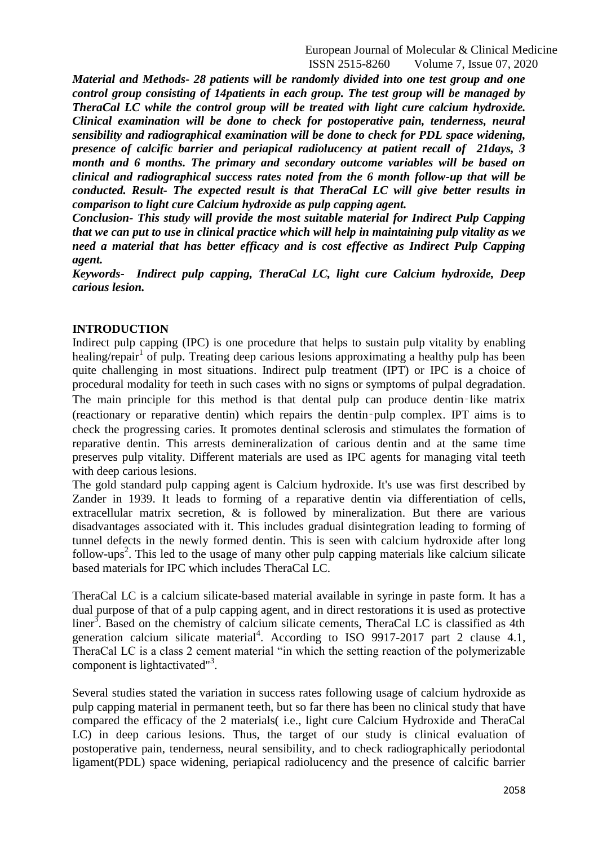*Material and Methods- 28 patients will be randomly divided into one test group and one control group consisting of 14patients in each group. The test group will be managed by TheraCal LC while the control group will be treated with light cure calcium hydroxide. Clinical examination will be done to check for postoperative pain, tenderness, neural sensibility and radiographical examination will be done to check for PDL space widening, presence of calcific barrier and periapical radiolucency at patient recall of 21days, 3 month and 6 months. The primary and secondary outcome variables will be based on clinical and radiographical success rates noted from the 6 month follow-up that will be conducted. Result- The expected result is that TheraCal LC will give better results in comparison to light cure Calcium hydroxide as pulp capping agent.* 

*Conclusion- This study will provide the most suitable material for Indirect Pulp Capping that we can put to use in clinical practice which will help in maintaining pulp vitality as we need a material that has better efficacy and is cost effective as Indirect Pulp Capping agent.*

*Keywords- Indirect pulp capping, TheraCal LC, light cure Calcium hydroxide, Deep carious lesion.*

#### **INTRODUCTION**

Indirect pulp capping (IPC) is one procedure that helps to sustain pulp vitality by enabling healing/repair<sup>1</sup> of pulp. Treating deep carious lesions approximating a healthy pulp has been quite challenging in most situations. Indirect pulp treatment (IPT) or IPC is a choice of procedural modality for teeth in such cases with no signs or symptoms of pulpal degradation. The main principle for this method is that dental pulp can produce dentin–like matrix (reactionary or reparative dentin) which repairs the dentin‑pulp complex. IPT aims is to check the progressing caries. It promotes dentinal sclerosis and stimulates the formation of reparative dentin. This arrests demineralization of carious dentin and at the same time preserves pulp vitality. Different materials are used as IPC agents for managing vital teeth with deep carious lesions.

The gold standard pulp capping agent is Calcium hydroxide. It's use was first described by Zander in 1939. It leads to forming of a reparative dentin via differentiation of cells, extracellular matrix secretion, & is followed by mineralization. But there are various disadvantages associated with it. This includes gradual disintegration leading to forming of tunnel defects in the newly formed dentin. This is seen with calcium hydroxide after long follow-ups<sup>2</sup>. This led to the usage of many other pulp capping materials like calcium silicate based materials for IPC which includes TheraCal LC.

TheraCal LC is a calcium silicate-based material available in syringe in paste form. It has a dual purpose of that of a pulp capping agent, and in direct restorations it is used as protective liner<sup>3</sup>. Based on the chemistry of calcium silicate cements, TheraCal LC is classified as 4th generation calcium silicate material<sup>4</sup>. According to ISO 9917-2017 part 2 clause 4.1, TheraCal LC is a class 2 cement material "in which the setting reaction of the polymerizable component is lightactivated"<sup>3</sup>.

Several studies stated the variation in success rates following usage of calcium hydroxide as pulp capping material in permanent teeth, but so far there has been no clinical study that have compared the efficacy of the 2 materials( i.e., light cure Calcium Hydroxide and TheraCal LC) in deep carious lesions. Thus, the target of our study is clinical evaluation of postoperative pain, tenderness, neural sensibility, and to check radiographically periodontal ligament(PDL) space widening, periapical radiolucency and the presence of calcific barrier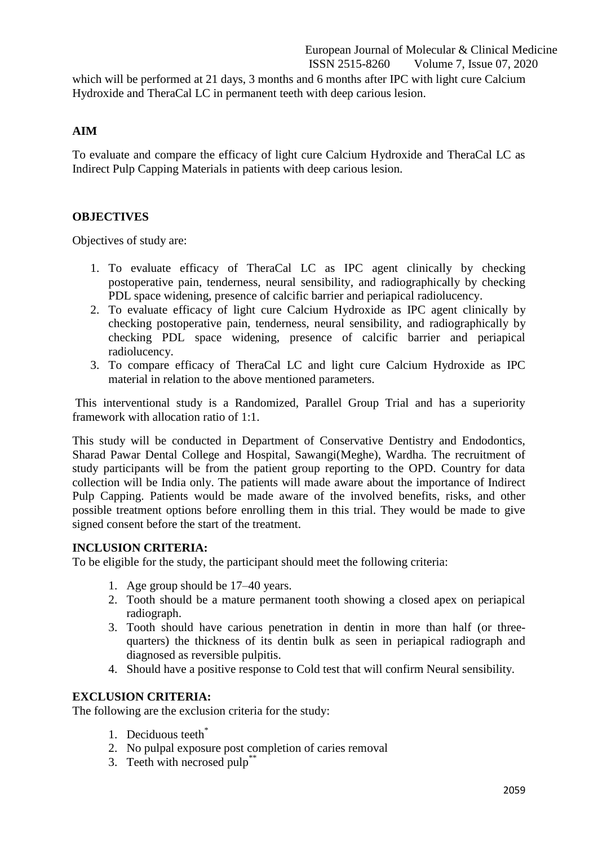which will be performed at 21 days, 3 months and 6 months after IPC with light cure Calcium Hydroxide and TheraCal LC in permanent teeth with deep carious lesion.

## **AIM**

To evaluate and compare the efficacy of light cure Calcium Hydroxide and TheraCal LC as Indirect Pulp Capping Materials in patients with deep carious lesion.

## **OBJECTIVES**

Objectives of study are:

- 1. To evaluate efficacy of TheraCal LC as IPC agent clinically by checking postoperative pain, tenderness, neural sensibility, and radiographically by checking PDL space widening, presence of calcific barrier and periapical radiolucency.
- 2. To evaluate efficacy of light cure Calcium Hydroxide as IPC agent clinically by checking postoperative pain, tenderness, neural sensibility, and radiographically by checking PDL space widening, presence of calcific barrier and periapical radiolucency.
- 3. To compare efficacy of TheraCal LC and light cure Calcium Hydroxide as IPC material in relation to the above mentioned parameters.

This interventional study is a Randomized, Parallel Group Trial and has a superiority framework with allocation ratio of 1:1.

This study will be conducted in Department of Conservative Dentistry and Endodontics, Sharad Pawar Dental College and Hospital, Sawangi(Meghe), Wardha. The recruitment of study participants will be from the patient group reporting to the OPD. Country for data collection will be India only. The patients will made aware about the importance of Indirect Pulp Capping. Patients would be made aware of the involved benefits, risks, and other possible treatment options before enrolling them in this trial. They would be made to give signed consent before the start of the treatment.

## **INCLUSION CRITERIA:**

To be eligible for the study, the participant should meet the following criteria:

- 1. Age group should be 17–40 years.
- 2. Tooth should be a mature permanent tooth showing a closed apex on periapical radiograph.
- 3. Tooth should have carious penetration in dentin in more than half (or threequarters) the thickness of its dentin bulk as seen in periapical radiograph and diagnosed as reversible pulpitis.
- 4. Should have a positive response to Cold test that will confirm Neural sensibility.

#### **EXCLUSION CRITERIA:**

The following are the exclusion criteria for the study:

- 1. Deciduous teeth\*
- 2. No pulpal exposure post completion of caries removal
- 3. Teeth with necrosed pulp<sup>\*\*</sup>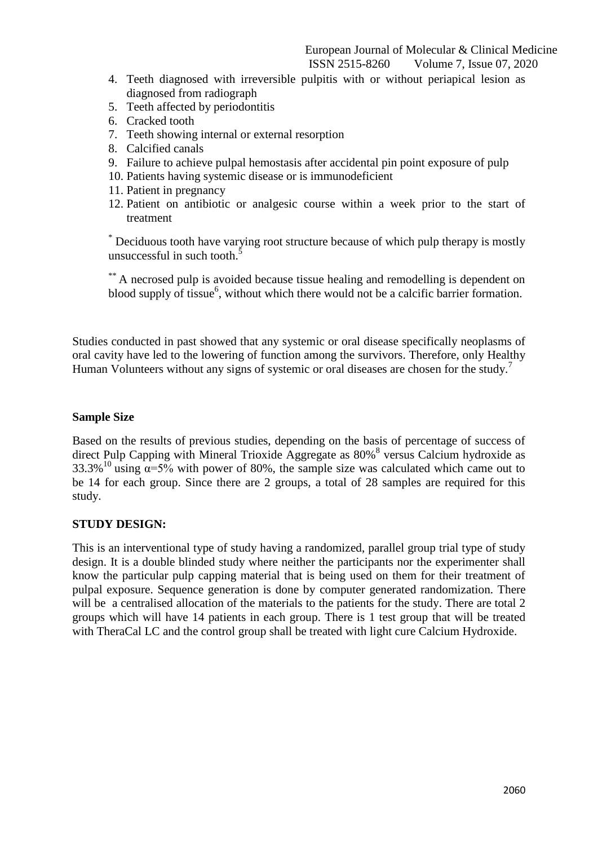- 4. Teeth diagnosed with irreversible pulpitis with or without periapical lesion as diagnosed from radiograph
- 5. Teeth affected by periodontitis
- 6. Cracked tooth
- 7. Teeth showing internal or external resorption
- 8. Calcified canals
- 9. Failure to achieve pulpal hemostasis after accidental pin point exposure of pulp
- 10. Patients having systemic disease or is immunodeficient
- 11. Patient in pregnancy
- 12. Patient on antibiotic or analgesic course within a week prior to the start of treatment

\* Deciduous tooth have varying root structure because of which pulp therapy is mostly unsuccessful in such tooth.<sup>5</sup>

\*\* A necrosed pulp is avoided because tissue healing and remodelling is dependent on blood supply of tissue<sup>6</sup>, without which there would not be a calcific barrier formation.

Studies conducted in past showed that any systemic or oral disease specifically neoplasms of oral cavity have led to the lowering of function among the survivors. Therefore, only Healthy Human Volunteers without any signs of systemic or oral diseases are chosen for the study.<sup>7</sup>

#### **Sample Size**

Based on the results of previous studies, depending on the basis of percentage of success of direct Pulp Capping with Mineral Trioxide Aggregate as 80%<sup>8</sup> versus Calcium hydroxide as 33.3%<sup>10</sup> using  $\alpha$ =5% with power of 80%, the sample size was calculated which came out to be 14 for each group. Since there are 2 groups, a total of 28 samples are required for this study.

# **STUDY DESIGN:**

This is an interventional type of study having a randomized, parallel group trial type of study design. It is a double blinded study where neither the participants nor the experimenter shall know the particular pulp capping material that is being used on them for their treatment of pulpal exposure. Sequence generation is done by computer generated randomization. There will be a centralised allocation of the materials to the patients for the study. There are total 2 groups which will have 14 patients in each group. There is 1 test group that will be treated with TheraCal LC and the control group shall be treated with light cure Calcium Hydroxide.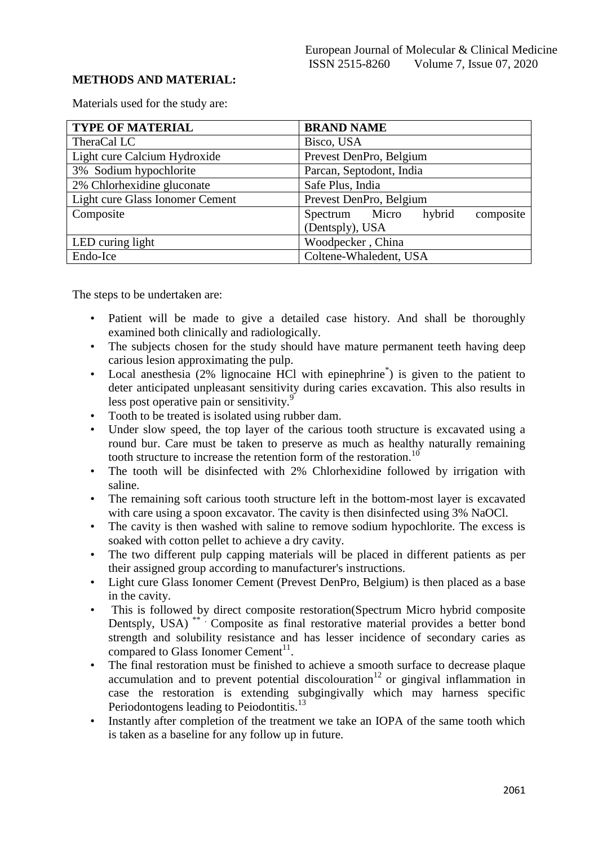# **METHODS AND MATERIAL:**

Materials used for the study are:

| <b>TYPE OF MATERIAL</b>         | <b>BRAND NAME</b>                     |
|---------------------------------|---------------------------------------|
| TheraCal LC                     | Bisco, USA                            |
| Light cure Calcium Hydroxide    | Prevest DenPro, Belgium               |
| 3% Sodium hypochlorite          | Parcan, Septodont, India              |
| 2% Chlorhexidine gluconate      | Safe Plus, India                      |
| Light cure Glass Ionomer Cement | Prevest DenPro, Belgium               |
| Composite                       | composite<br>Spectrum Micro<br>hybrid |
|                                 | (Dentsply), USA                       |
| LED curing light                | Woodpecker, China                     |
| Endo-Ice                        | Coltene-Whaledent, USA                |

The steps to be undertaken are:

- Patient will be made to give a detailed case history. And shall be thoroughly examined both clinically and radiologically.
- The subjects chosen for the study should have mature permanent teeth having deep carious lesion approximating the pulp.
- Local anesthesia (2% lignocaine HCl with epinephrine<sup>\*</sup>) is given to the patient to deter anticipated unpleasant sensitivity during caries excavation. This also results in less post operative pain or sensitivity.<sup>9</sup>
- Tooth to be treated is isolated using rubber dam.
- Under slow speed, the top layer of the carious tooth structure is excavated using a round bur. Care must be taken to preserve as much as healthy naturally remaining tooth structure to increase the retention form of the restoration.<sup>10</sup>
- The tooth will be disinfected with 2% Chlorhexidine followed by irrigation with saline.
- The remaining soft carious tooth structure left in the bottom-most layer is excavated with care using a spoon excavator. The cavity is then disinfected using  $3\%$  NaOCl.
- The cavity is then washed with saline to remove sodium hypochlorite. The excess is soaked with cotton pellet to achieve a dry cavity.
- The two different pulp capping materials will be placed in different patients as per their assigned group according to manufacturer's instructions.
- Light cure Glass Ionomer Cement (Prevest DenPro, Belgium) is then placed as a base in the cavity.
- This is followed by direct composite restoration(Spectrum Micro hybrid composite Dentsply, USA)<sup>\*\*</sup> Composite as final restorative material provides a better bond strength and solubility resistance and has lesser incidence of secondary caries as compared to Glass Ionomer Cement $^{11}$ .
- The final restoration must be finished to achieve a smooth surface to decrease plaque accumulation and to prevent potential discolouration<sup>12</sup> or gingival inflammation in case the restoration is extending subgingivally which may harness specific Periodontogens leading to Peiodontitis.<sup>13</sup>
- Instantly after completion of the treatment we take an IOPA of the same tooth which is taken as a baseline for any follow up in future.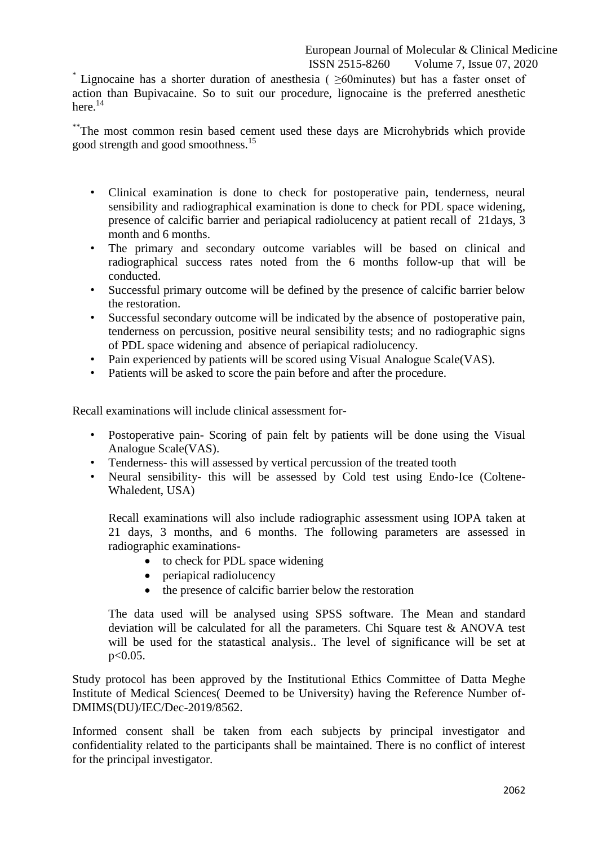\* Lignocaine has a shorter duration of anesthesia ( $\geq 60$ minutes) but has a faster onset of action than Bupivacaine. So to suit our procedure, lignocaine is the preferred anesthetic here $^{14}$ 

\*\*The most common resin based cement used these days are Microhybrids which provide good strength and good smoothness.<sup>15</sup>

- Clinical examination is done to check for postoperative pain, tenderness, neural sensibility and radiographical examination is done to check for PDL space widening, presence of calcific barrier and periapical radiolucency at patient recall of 21days, 3 month and 6 months.
- The primary and secondary outcome variables will be based on clinical and radiographical success rates noted from the 6 months follow-up that will be conducted.
- Successful primary outcome will be defined by the presence of calcific barrier below the restoration.
- Successful secondary outcome will be indicated by the absence of postoperative pain, tenderness on percussion, positive neural sensibility tests; and no radiographic signs of PDL space widening and absence of periapical radiolucency.
- Pain experienced by patients will be scored using Visual Analogue Scale(VAS).
- Patients will be asked to score the pain before and after the procedure.

Recall examinations will include clinical assessment for-

- Postoperative pain- Scoring of pain felt by patients will be done using the Visual Analogue Scale(VAS).
- Tenderness- this will assessed by vertical percussion of the treated tooth
- Neural sensibility- this will be assessed by Cold test using Endo-Ice (Coltene-Whaledent, USA)

Recall examinations will also include radiographic assessment using IOPA taken at 21 days, 3 months, and 6 months. The following parameters are assessed in radiographic examinations-

- to check for PDL space widening
- periapical radiolucency
- the presence of calcific barrier below the restoration

The data used will be analysed using SPSS software. The Mean and standard deviation will be calculated for all the parameters. Chi Square test & ANOVA test will be used for the statastical analysis.. The level of significance will be set at  $p<0.05$ .

Study protocol has been approved by the Institutional Ethics Committee of Datta Meghe Institute of Medical Sciences( Deemed to be University) having the Reference Number of-DMIMS(DU)/IEC/Dec-2019/8562.

Informed consent shall be taken from each subjects by principal investigator and confidentiality related to the participants shall be maintained. There is no conflict of interest for the principal investigator.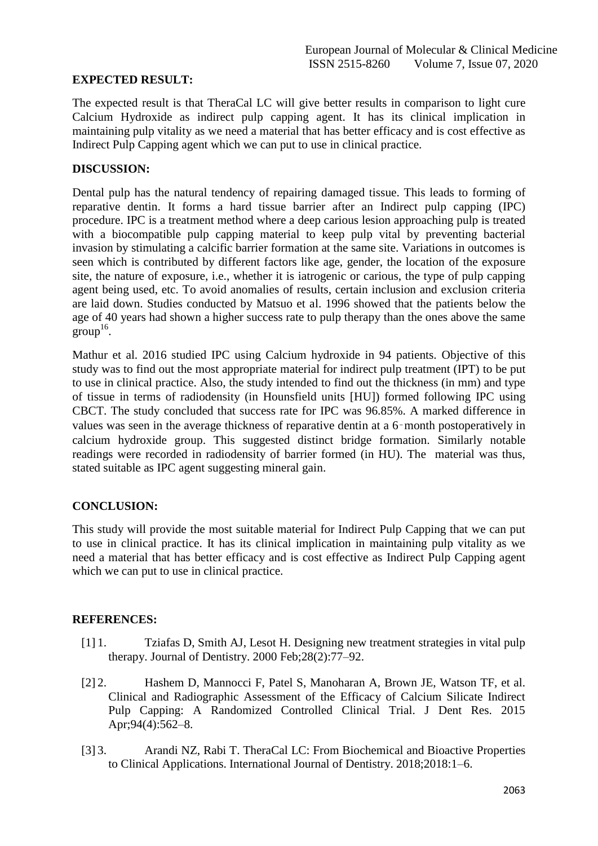# **EXPECTED RESULT:**

The expected result is that TheraCal LC will give better results in comparison to light cure Calcium Hydroxide as indirect pulp capping agent. It has its clinical implication in maintaining pulp vitality as we need a material that has better efficacy and is cost effective as Indirect Pulp Capping agent which we can put to use in clinical practice.

#### **DISCUSSION:**

Dental pulp has the natural tendency of repairing damaged tissue. This leads to forming of reparative dentin. It forms a hard tissue barrier after an Indirect pulp capping (IPC) procedure. IPC is a treatment method where a deep carious lesion approaching pulp is treated with a biocompatible pulp capping material to keep pulp vital by preventing bacterial invasion by stimulating a calcific barrier formation at the same site. Variations in outcomes is seen which is contributed by different factors like age, gender, the location of the exposure site, the nature of exposure, i.e., whether it is iatrogenic or carious, the type of pulp capping agent being used, etc. To avoid anomalies of results, certain inclusion and exclusion criteria are laid down. Studies conducted by Matsuo et al. 1996 showed that the patients below the age of 40 years had shown a higher success rate to pulp therapy than the ones above the same  $\text{group}^{16}$ .

Mathur et al. 2016 studied IPC using Calcium hydroxide in 94 patients. Objective of this study was to find out the most appropriate material for indirect pulp treatment (IPT) to be put to use in clinical practice. Also, the study intended to find out the thickness (in mm) and type of tissue in terms of radiodensity (in Hounsfield units [HU]) formed following IPC using CBCT. The study concluded that success rate for IPC was 96.85%. A marked difference in values was seen in the average thickness of reparative dentin at a 6‑month postoperatively in calcium hydroxide group. This suggested distinct bridge formation. Similarly notable readings were recorded in radiodensity of barrier formed (in HU). The material was thus, stated suitable as IPC agent suggesting mineral gain.

# **CONCLUSION:**

This study will provide the most suitable material for Indirect Pulp Capping that we can put to use in clinical practice. It has its clinical implication in maintaining pulp vitality as we need a material that has better efficacy and is cost effective as Indirect Pulp Capping agent which we can put to use in clinical practice.

#### **REFERENCES:**

- [1] 1. Tziafas D, Smith AJ, Lesot H. Designing new treatment strategies in vital pulp therapy. Journal of Dentistry. 2000 Feb;28(2):77–92.
- [2] 2. Hashem D, Mannocci F, Patel S, Manoharan A, Brown JE, Watson TF, et al. Clinical and Radiographic Assessment of the Efficacy of Calcium Silicate Indirect Pulp Capping: A Randomized Controlled Clinical Trial. J Dent Res. 2015 Apr;94(4):562–8.
- [3] 3. Arandi NZ, Rabi T. TheraCal LC: From Biochemical and Bioactive Properties to Clinical Applications. International Journal of Dentistry. 2018;2018:1–6.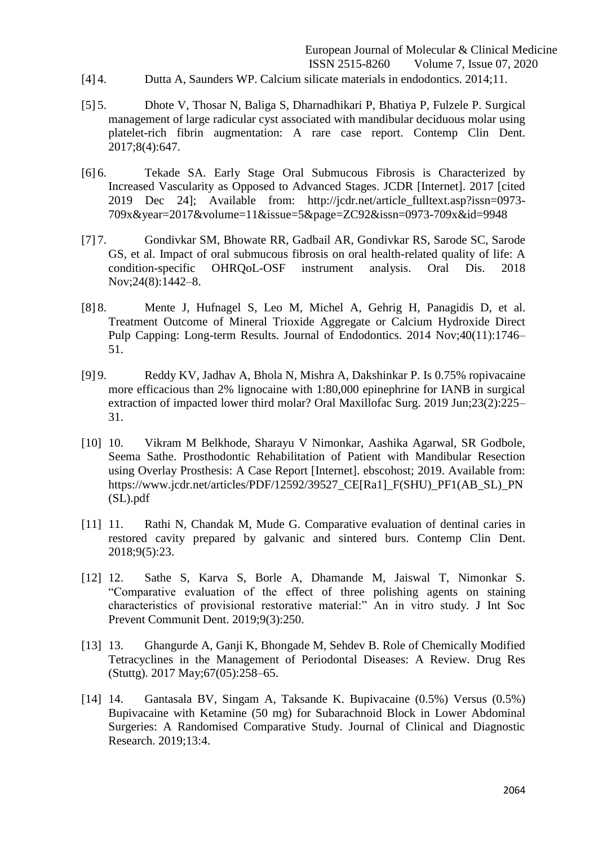- [4] 4. Dutta A, Saunders WP. Calcium silicate materials in endodontics. 2014;11.
- [5] 5. Dhote V, Thosar N, Baliga S, Dharnadhikari P, Bhatiya P, Fulzele P. Surgical management of large radicular cyst associated with mandibular deciduous molar using platelet-rich fibrin augmentation: A rare case report. Contemp Clin Dent. 2017;8(4):647.
- [6] 6. Tekade SA. Early Stage Oral Submucous Fibrosis is Characterized by Increased Vascularity as Opposed to Advanced Stages. JCDR [Internet]. 2017 [cited 2019 Dec 24]; Available from: http://jcdr.net/article\_fulltext.asp?issn=0973- 709x&year=2017&volume=11&issue=5&page=ZC92&issn=0973-709x&id=9948
- [7] 7. Gondivkar SM, Bhowate RR, Gadbail AR, Gondivkar RS, Sarode SC, Sarode GS, et al. Impact of oral submucous fibrosis on oral health-related quality of life: A condition-specific OHRQoL-OSF instrument analysis. Oral Dis. 2018 Nov;24(8):1442–8.
- [8] 8. Mente J, Hufnagel S, Leo M, Michel A, Gehrig H, Panagidis D, et al. Treatment Outcome of Mineral Trioxide Aggregate or Calcium Hydroxide Direct Pulp Capping: Long-term Results. Journal of Endodontics. 2014 Nov;40(11):1746– 51.
- [9] 9. Reddy KV, Jadhav A, Bhola N, Mishra A, Dakshinkar P. Is 0.75% ropivacaine more efficacious than 2% lignocaine with 1:80,000 epinephrine for IANB in surgical extraction of impacted lower third molar? Oral Maxillofac Surg. 2019 Jun;23(2):225– 31.
- [10] 10. Vikram M Belkhode, Sharayu V Nimonkar, Aashika Agarwal, SR Godbole, Seema Sathe. Prosthodontic Rehabilitation of Patient with Mandibular Resection using Overlay Prosthesis: A Case Report [Internet]. ebscohost; 2019. Available from: https://www.jcdr.net/articles/PDF/12592/39527\_CE[Ra1]\_F(SHU)\_PF1(AB\_SL)\_PN (SL).pdf
- [11] 11. Rathi N, Chandak M, Mude G. Comparative evaluation of dentinal caries in restored cavity prepared by galvanic and sintered burs. Contemp Clin Dent. 2018;9(5):23.
- [12] 12. Sathe S, Karva S, Borle A, Dhamande M, Jaiswal T, Nimonkar S. "Comparative evaluation of the effect of three polishing agents on staining characteristics of provisional restorative material:" An in vitro study. J Int Soc Prevent Communit Dent. 2019;9(3):250.
- [13] 13. Ghangurde A, Ganji K, Bhongade M, Sehdev B. Role of Chemically Modified Tetracyclines in the Management of Periodontal Diseases: A Review. Drug Res (Stuttg). 2017 May;67(05):258–65.
- [14] 14. Gantasala BV, Singam A, Taksande K. Bupivacaine (0.5%) Versus (0.5%) Bupivacaine with Ketamine (50 mg) for Subarachnoid Block in Lower Abdominal Surgeries: A Randomised Comparative Study. Journal of Clinical and Diagnostic Research. 2019;13:4.